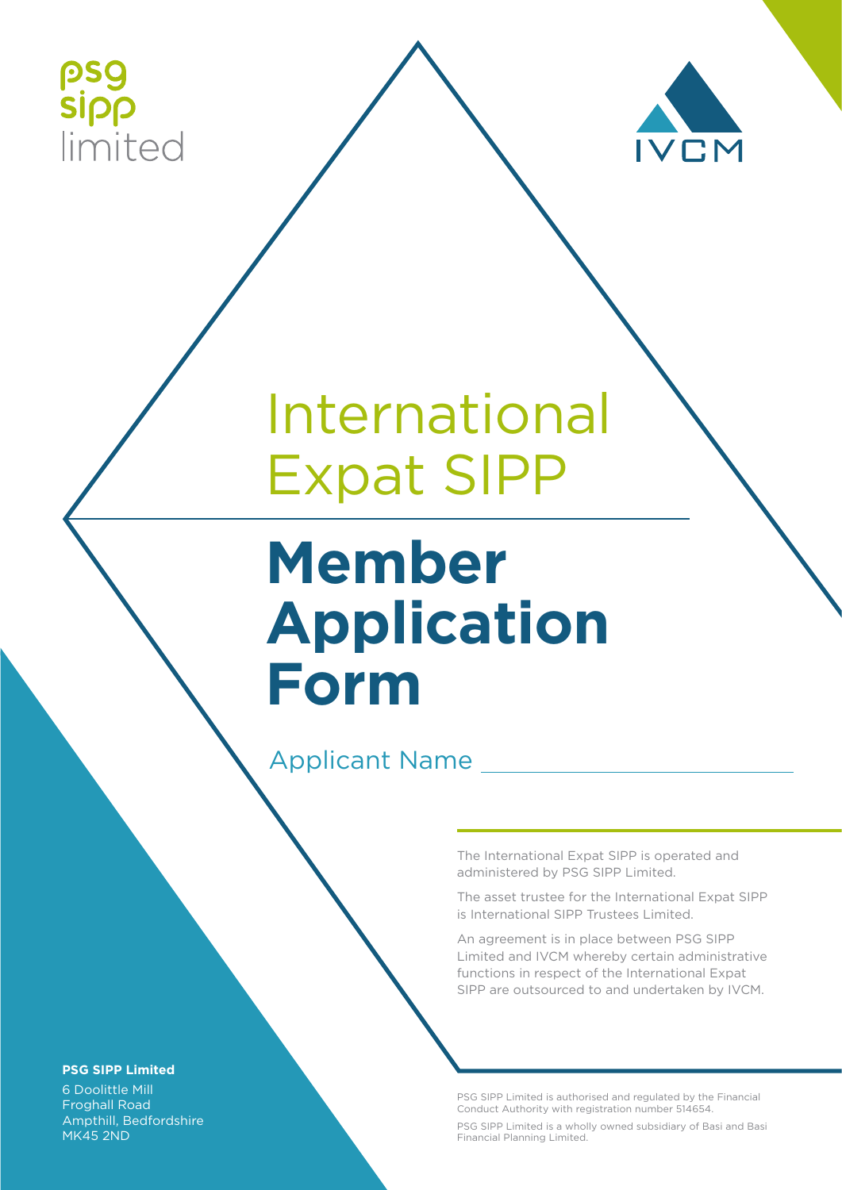



# International Expat SIPP

# **Member Application Form**

### Applicant Name

The International Expat SIPP is operated and administered by PSG SIPP Limited.

The asset trustee for the International Expat SIPP is International SIPP Trustees Limited.

An agreement is in place between PSG SIPP Limited and IVCM whereby certain administrative functions in respect of the International Expat SIPP are outsourced to and undertaken by IVCM.

PSG SIPP Limited is authorised and regulated by the Financial Conduct Authority with registration number 514654.

PSG SIPP Limited is a wholly owned subsidiary of Basi and Basi Financial Planning Limited.

#### **PSG SIPP Limited**

6 Doolittle Mill Froghall Road Ampthill, Bedfordshire MK45 2ND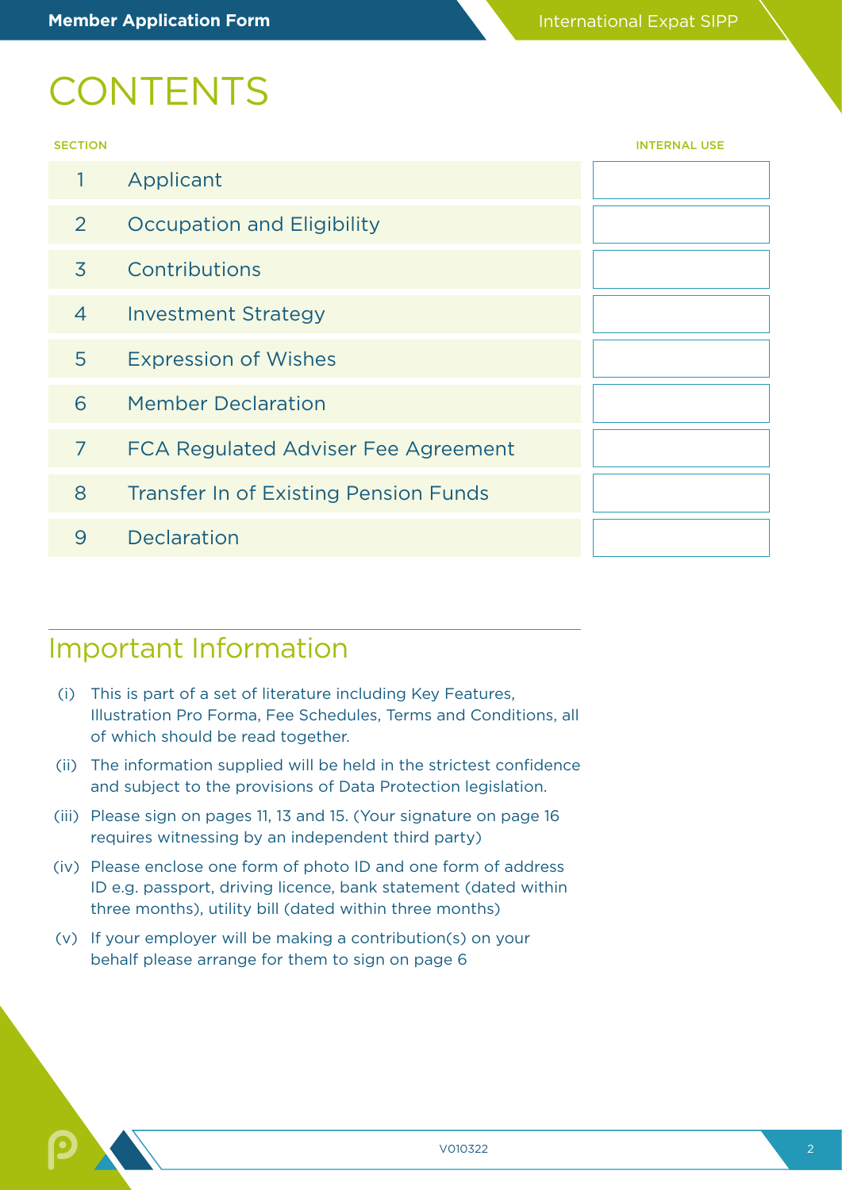## **CONTENTS**

| . . | .   |
|-----|-----|
|     | . . |

| <b>SECTION</b> |                                              | <b>INTERNAL USE</b> |
|----------------|----------------------------------------------|---------------------|
| $\mathbf{1}$   | Applicant                                    |                     |
| 2              | <b>Occupation and Eligibility</b>            |                     |
| 3              | Contributions                                |                     |
| $\overline{4}$ | <b>Investment Strategy</b>                   |                     |
| 5              | <b>Expression of Wishes</b>                  |                     |
| 6              | <b>Member Declaration</b>                    |                     |
| 7              | FCA Regulated Adviser Fee Agreement          |                     |
| 8              | <b>Transfer In of Existing Pension Funds</b> |                     |
| 9              | <b>Declaration</b>                           |                     |
|                |                                              |                     |

### Important Information

- (i) This is part of a set of literature including Key Features, Illustration Pro Forma, Fee Schedules, Terms and Conditions, all of which should be read together.
- (ii) The information supplied will be held in the strictest confidence and subject to the provisions of Data Protection legislation.
- (iii) Please sign on pages 11, 13 and 15. (Your signature on page 16 requires witnessing by an independent third party)
- (iv) Please enclose one form of photo ID and one form of address ID e.g. passport, driving licence, bank statement (dated within three months), utility bill (dated within three months)
- (v) If your employer will be making a contribution(s) on your behalf please arrange for them to sign on page 6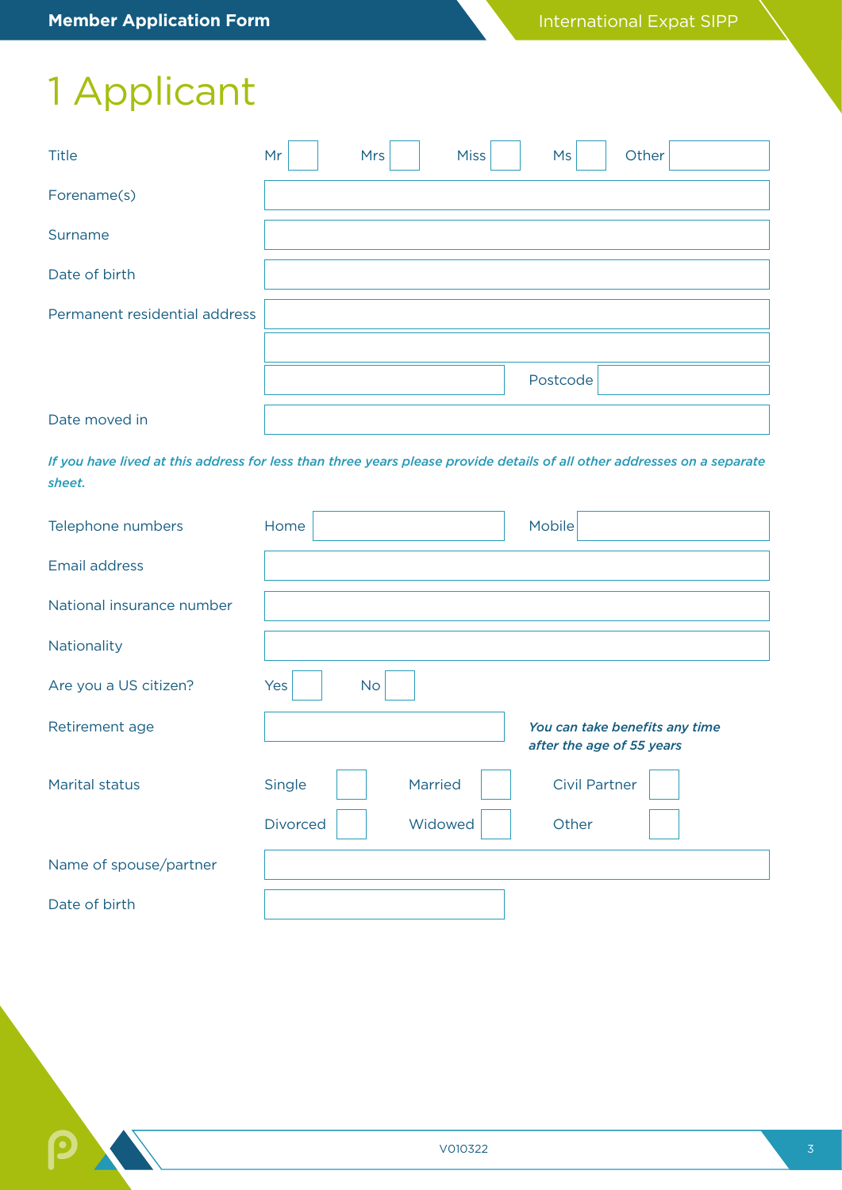## 1 Applicant

| <b>Title</b>                  | Mr | <b>Mrs</b> | Miss | Ms       | Other |
|-------------------------------|----|------------|------|----------|-------|
| Forename(s)                   |    |            |      |          |       |
| Surname                       |    |            |      |          |       |
| Date of birth                 |    |            |      |          |       |
| Permanent residential address |    |            |      |          |       |
|                               |    |            |      |          |       |
|                               |    |            |      | Postcode |       |
| Date moved in                 |    |            |      |          |       |

*If you have lived at this address for less than three years please provide details of all other addresses on a separate sheet.*

| Telephone numbers         | Home                       | <b>Mobile</b>                  |
|---------------------------|----------------------------|--------------------------------|
| <b>Email address</b>      |                            |                                |
| National insurance number |                            |                                |
| Nationality               |                            |                                |
| Are you a US citizen?     | Yes<br><b>No</b>           |                                |
| Retirement age            |                            | You can take benefits any time |
|                           |                            | after the age of 55 years      |
| <b>Marital status</b>     | Married<br>Single          | <b>Civil Partner</b>           |
|                           | Widowed<br><b>Divorced</b> | Other                          |
| Name of spouse/partner    |                            |                                |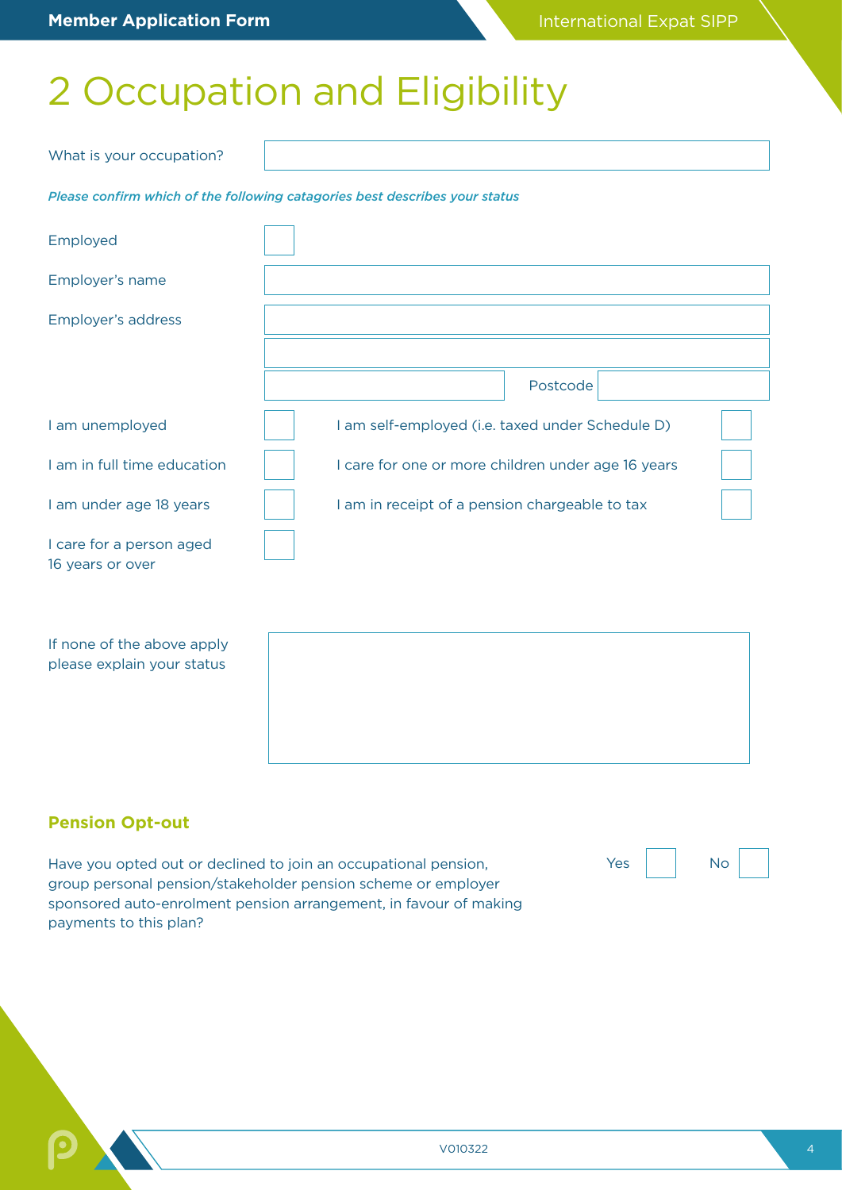## 2 Occupation and Eligibility

| What is your occupation?                                                    |  |  |                                                    |  |
|-----------------------------------------------------------------------------|--|--|----------------------------------------------------|--|
| Please confirm which of the following catagories best describes your status |  |  |                                                    |  |
| Employed                                                                    |  |  |                                                    |  |
| Employer's name                                                             |  |  |                                                    |  |
| Employer's address                                                          |  |  |                                                    |  |
|                                                                             |  |  |                                                    |  |
|                                                                             |  |  | Postcode                                           |  |
| I am unemployed                                                             |  |  | I am self-employed (i.e. taxed under Schedule D)   |  |
| I am in full time education                                                 |  |  | I care for one or more children under age 16 years |  |
| I am under age 18 years                                                     |  |  | I am in receipt of a pension chargeable to tax     |  |
| I care for a person aged<br>16 years or over                                |  |  |                                                    |  |
|                                                                             |  |  |                                                    |  |
| If none of the above apply                                                  |  |  |                                                    |  |

please explain your status

### **Pension Opt-out**

Have you opted out or declined to join an occupational pension, group personal pension/stakeholder pension scheme or employer sponsored auto-enrolment pension arrangement, in favour of making payments to this plan?

| Vos | ง∩ |  |
|-----|----|--|
|     |    |  |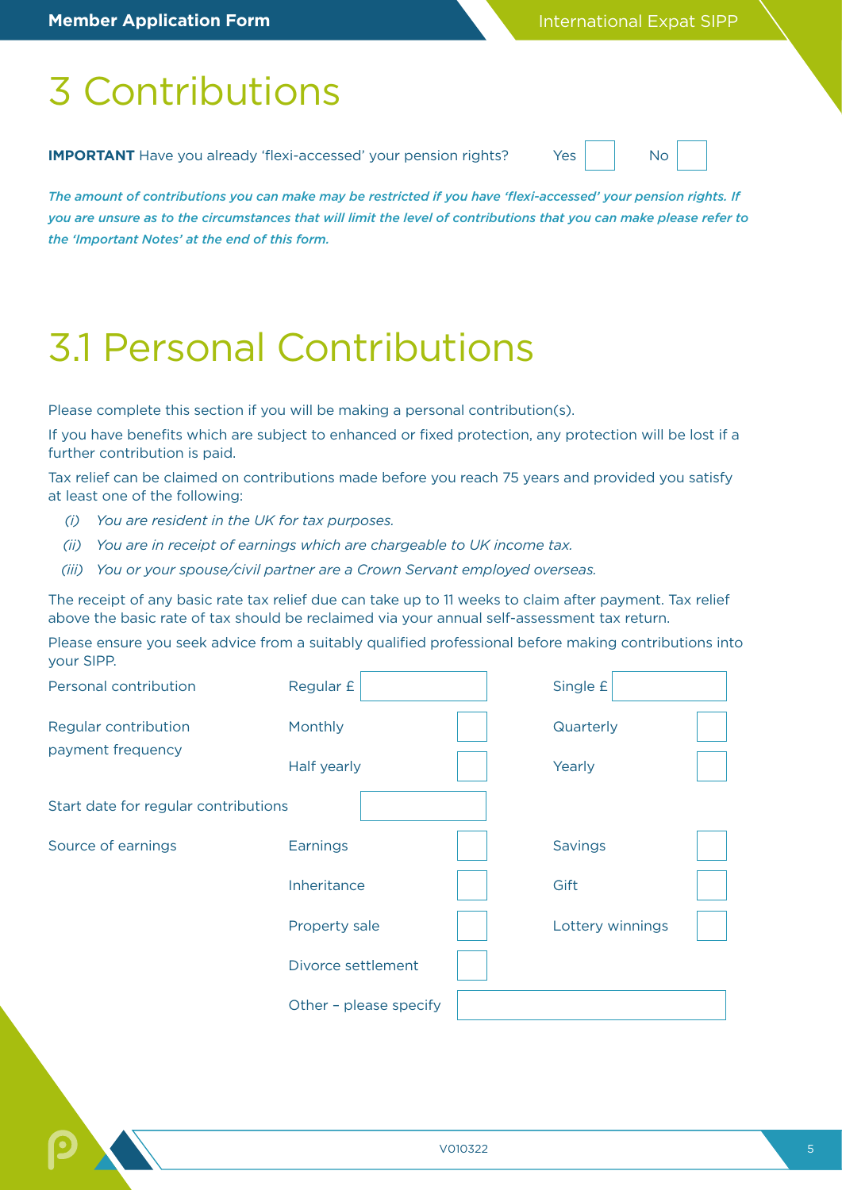## 3 Contributions

**IMPORTANT** Have you already 'flexi-accessed' your pension rights? Yes No

*The amount of contributions you can make may be restricted if you have 'flexi-accessed' your pension rights. If you are unsure as to the circumstances that will limit the level of contributions that you can make please refer to the 'Important Notes' at the end of this form.*

## 3.1 Personal Contributions

Please complete this section if you will be making a personal contribution(s).

If you have benefits which are subject to enhanced or fixed protection, any protection will be lost if a further contribution is paid.

Tax relief can be claimed on contributions made before you reach 75 years and provided you satisfy at least one of the following:

- *(i) You are resident in the UK for tax purposes.*
- *(ii) You are in receipt of earnings which are chargeable to UK income tax.*
- *(iii) You or your spouse/civil partner are a Crown Servant employed overseas.*

The receipt of any basic rate tax relief due can take up to 11 weeks to claim after payment. Tax relief above the basic rate of tax should be reclaimed via your annual self-assessment tax return.

Please ensure you seek advice from a suitably qualified professional before making contributions into your SIPP.

| Personal contribution                | Regular £              | Single £         |  |
|--------------------------------------|------------------------|------------------|--|
| Regular contribution                 | Monthly                | Quarterly        |  |
| payment frequency                    | Half yearly            | Yearly           |  |
| Start date for regular contributions |                        |                  |  |
| Source of earnings                   | Earnings               | Savings          |  |
|                                      | Inheritance            | Gift             |  |
|                                      | Property sale          | Lottery winnings |  |
|                                      | Divorce settlement     |                  |  |
|                                      | Other - please specify |                  |  |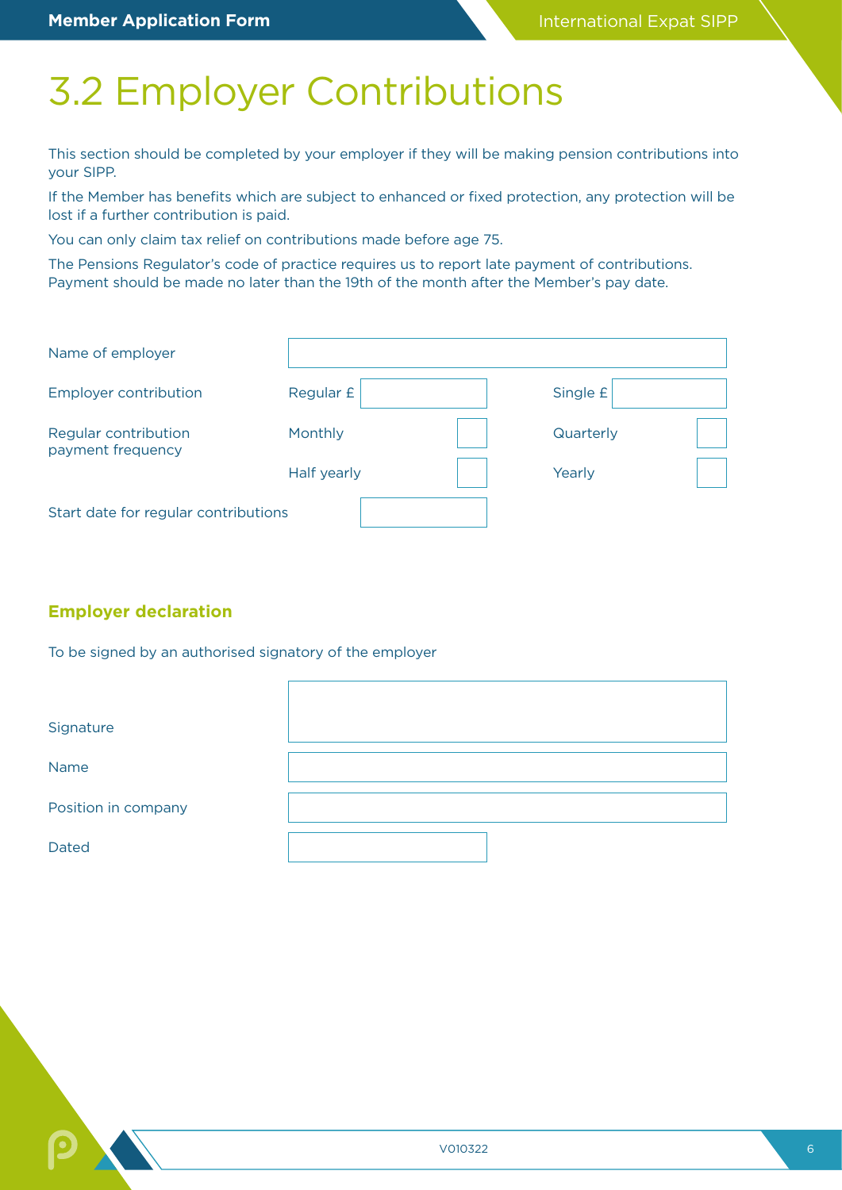## 3.2 Employer Contributions

This section should be completed by your employer if they will be making pension contributions into your SIPP.

If the Member has benefits which are subject to enhanced or fixed protection, any protection will be lost if a further contribution is paid.

You can only claim tax relief on contributions made before age 75.

The Pensions Regulator's code of practice requires us to report late payment of contributions. Payment should be made no later than the 19th of the month after the Member's pay date.

| Name of employer                          |             |           |  |
|-------------------------------------------|-------------|-----------|--|
| <b>Employer contribution</b>              | Regular £   | Single £  |  |
| Regular contribution<br>payment frequency | Monthly     | Quarterly |  |
|                                           | Half yearly | Yearly    |  |
| Start date for regular contributions      |             |           |  |

### **Employer declaration**

To be signed by an authorised signatory of the employer

| Signature           |  |
|---------------------|--|
| <b>Name</b>         |  |
| Position in company |  |
| <b>Dated</b>        |  |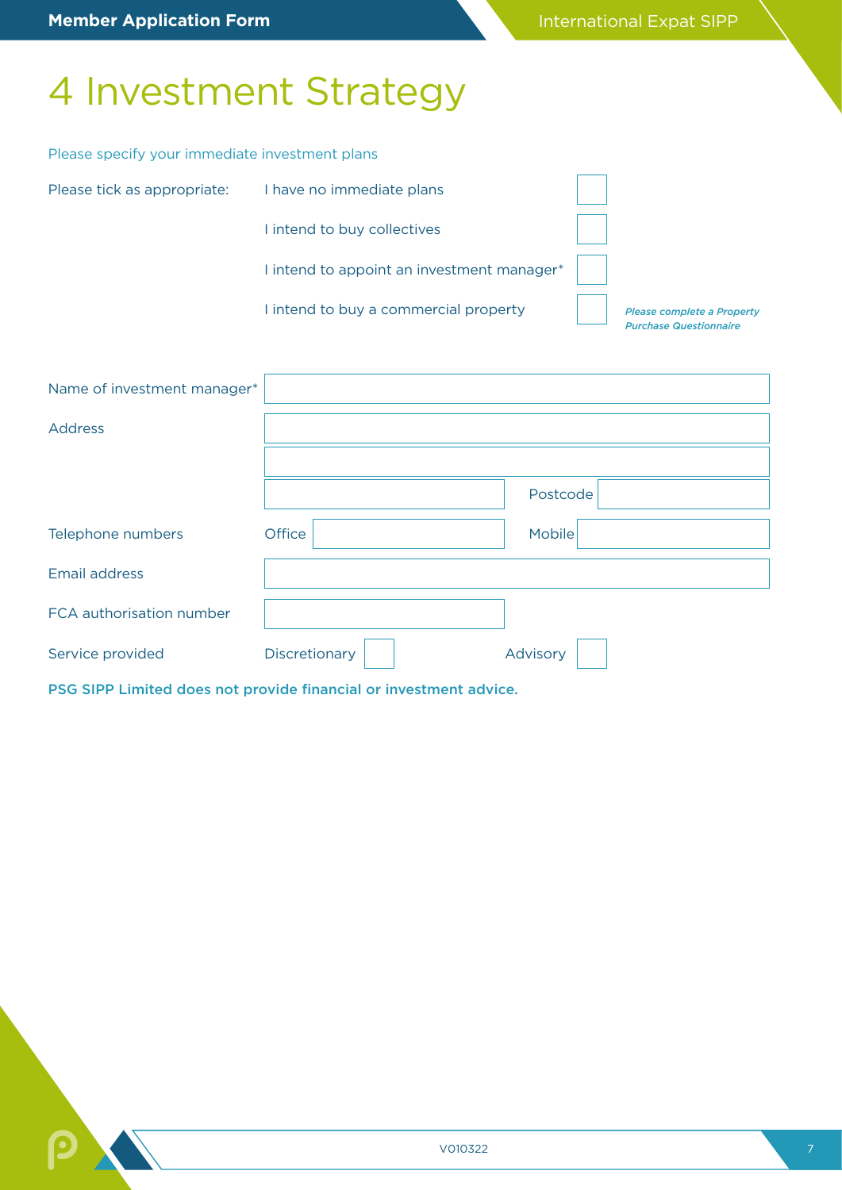## 4 Investment Strategy

### Please specify your immediate investment plans

| Please tick as appropriate: | I have no immediate plans                  |                                                             |
|-----------------------------|--------------------------------------------|-------------------------------------------------------------|
|                             | I intend to buy collectives                |                                                             |
|                             | l intend to appoint an investment manager* |                                                             |
|                             | I intend to buy a commercial property      | Please complete a Property<br><b>Purchase Questionnaire</b> |
|                             |                                            |                                                             |

| Name of investment manager* |               |          |
|-----------------------------|---------------|----------|
| <b>Address</b>              |               |          |
|                             |               |          |
|                             |               | Postcode |
| Telephone numbers           | Office        | Mobile   |
| <b>Email address</b>        |               |          |
| FCA authorisation number    |               |          |
| Service provided            | Discretionary | Advisory |

PSG SIPP Limited does not provide financial or investment advice.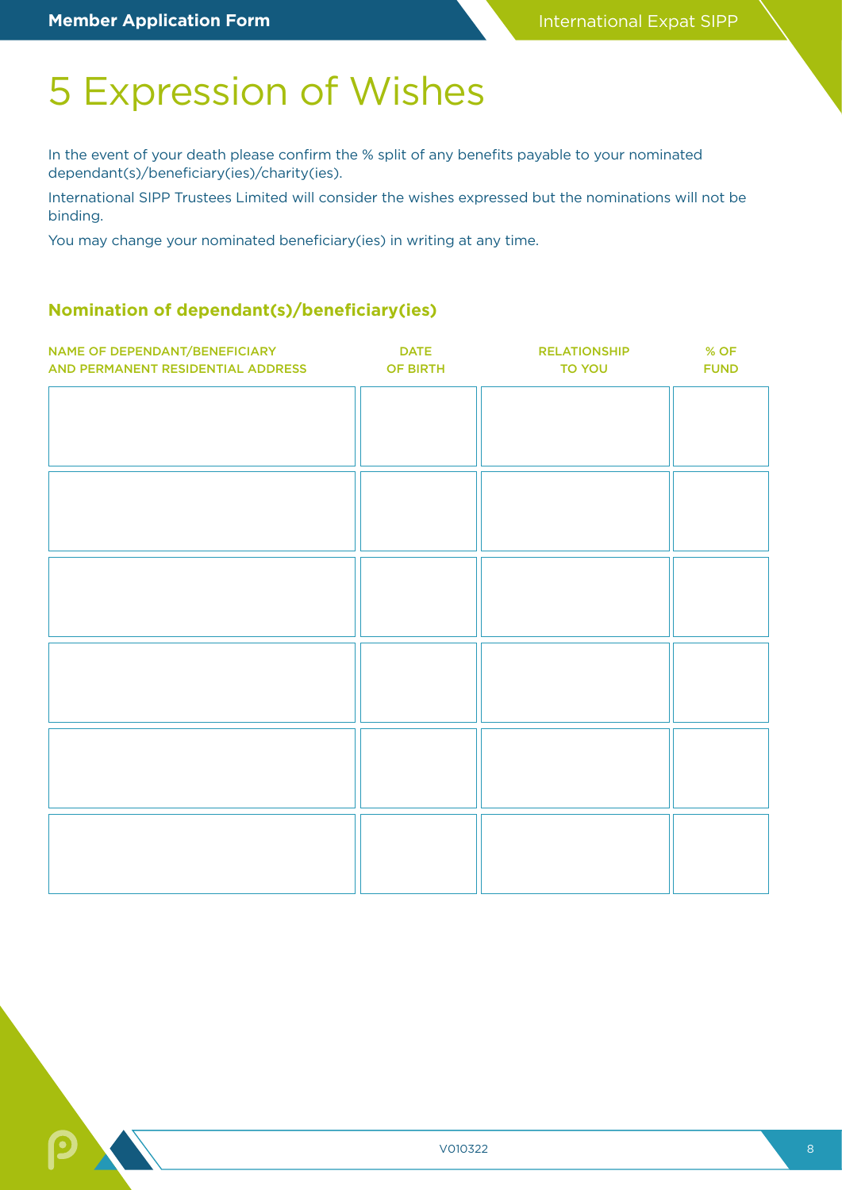## 5 Expression of Wishes

In the event of your death please confirm the % split of any benefits payable to your nominated dependant(s)/beneficiary(ies)/charity(ies).

International SIPP Trustees Limited will consider the wishes expressed but the nominations will not be binding.

You may change your nominated beneficiary(ies) in writing at any time.

### **Nomination of dependant(s)/beneficiary(ies)**

| NAME OF DEPENDANT/BENEFICIARY<br>AND PERMANENT RESIDENTIAL ADDRESS OF BIRTH | <b>DATE</b> | <b>RELATIONSHIP</b><br><b>TO YOU</b> | % OF<br><b>FUND</b> |
|-----------------------------------------------------------------------------|-------------|--------------------------------------|---------------------|
|                                                                             |             |                                      |                     |
|                                                                             |             |                                      |                     |
|                                                                             |             |                                      |                     |
|                                                                             |             |                                      |                     |
|                                                                             |             |                                      |                     |
|                                                                             |             |                                      |                     |
|                                                                             |             |                                      |                     |
|                                                                             |             |                                      |                     |
|                                                                             |             |                                      |                     |
|                                                                             |             |                                      |                     |
|                                                                             |             |                                      |                     |
|                                                                             |             |                                      |                     |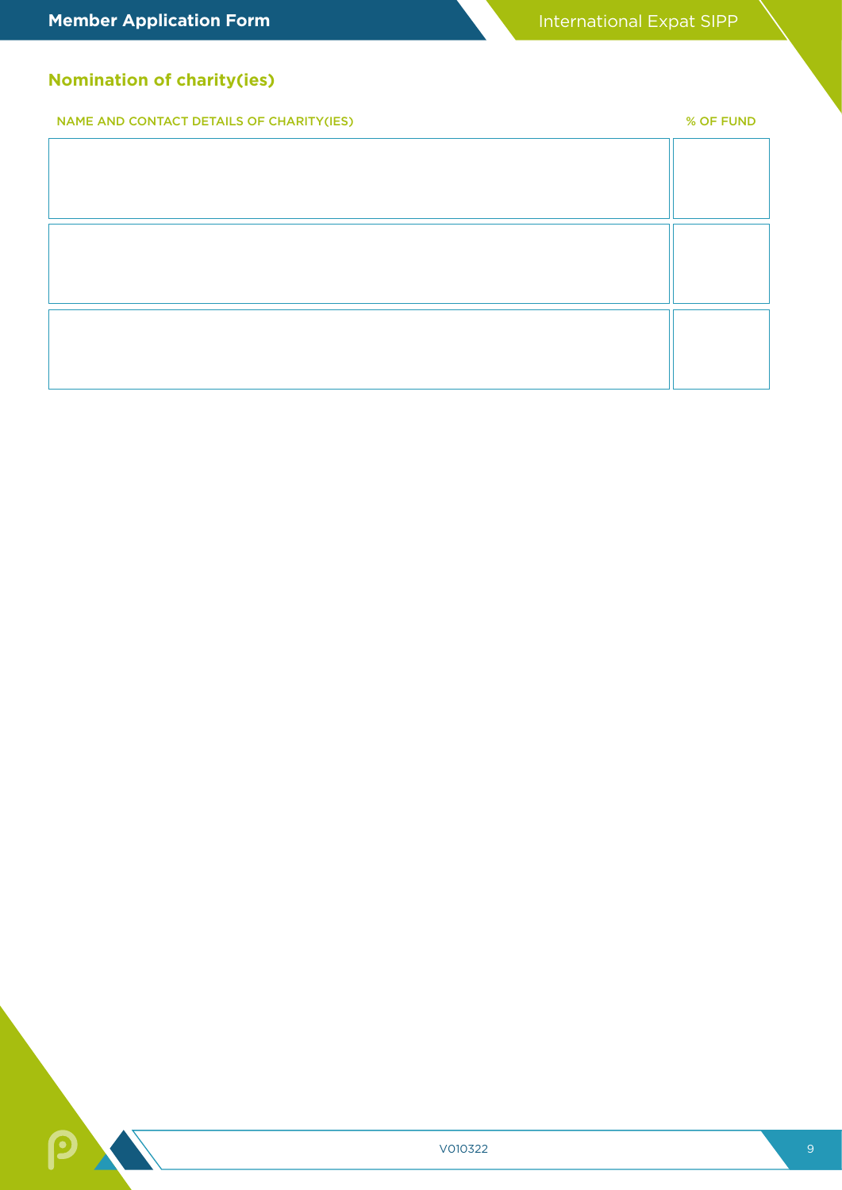### **Nomination of charity(ies)**

NAME AND CONTACT DETAILS OF CHARITY(IES) % OF FUND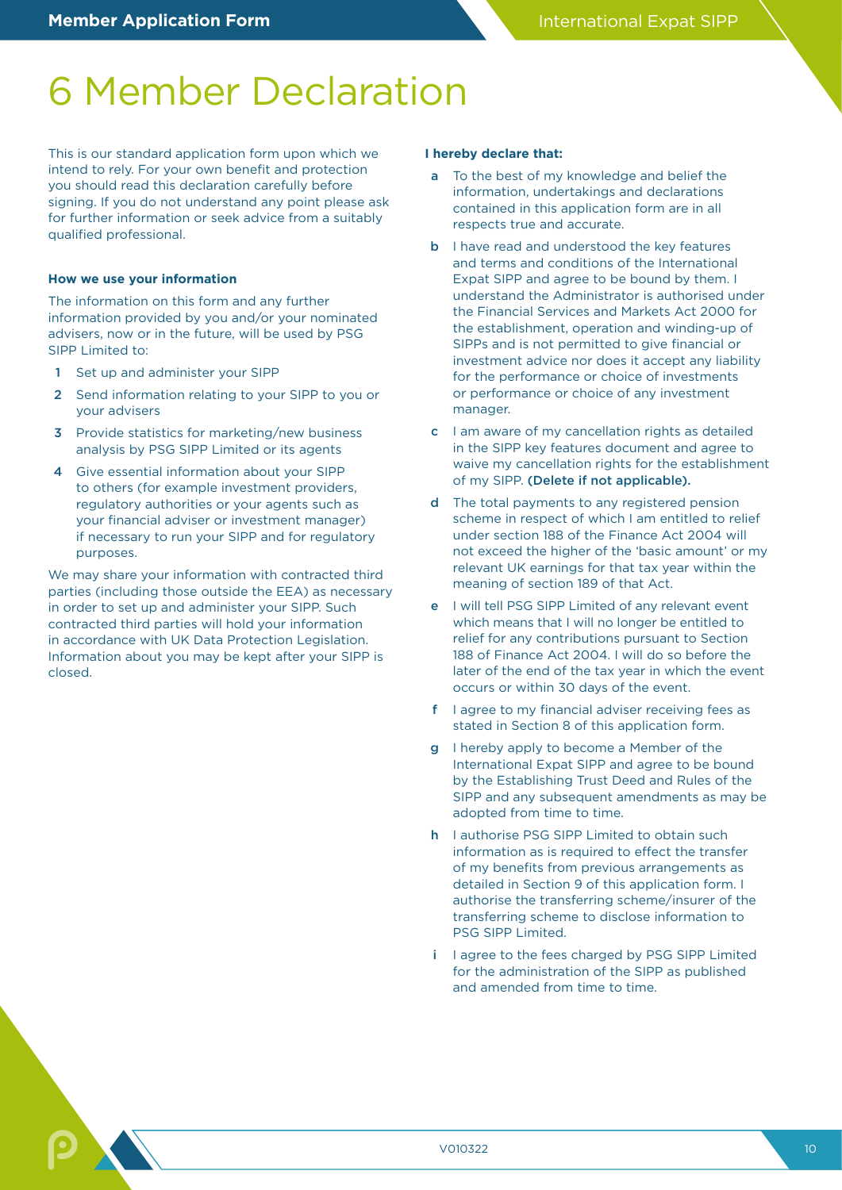## 6 Member Declaration

This is our standard application form upon which we intend to rely. For your own benefit and protection you should read this declaration carefully before signing. If you do not understand any point please ask for further information or seek advice from a suitably qualified professional.

#### **How we use your information**

The information on this form and any further information provided by you and/or your nominated advisers, now or in the future, will be used by PSG SIPP Limited to:

- Set up and administer your SIPP
- 2 Send information relating to your SIPP to you or your advisers
- **3** Provide statistics for marketing/new business analysis by PSG SIPP Limited or its agents
- 4 Give essential information about your SIPP to others (for example investment providers, regulatory authorities or your agents such as your financial adviser or investment manager) if necessary to run your SIPP and for regulatory purposes.

We may share your information with contracted third parties (including those outside the EEA) as necessary in order to set up and administer your SIPP. Such contracted third parties will hold your information in accordance with UK Data Protection Legislation. Information about you may be kept after your SIPP is closed.

#### **I hereby declare that:**

- a To the best of my knowledge and belief the information, undertakings and declarations contained in this application form are in all respects true and accurate.
- **b** I have read and understood the key features and terms and conditions of the International Expat SIPP and agree to be bound by them. I understand the Administrator is authorised under the Financial Services and Markets Act 2000 for the establishment, operation and winding-up of SIPPs and is not permitted to give financial or investment advice nor does it accept any liability for the performance or choice of investments or performance or choice of any investment manager.
- c I am aware of my cancellation rights as detailed in the SIPP key features document and agree to waive my cancellation rights for the establishment of my SIPP. (Delete if not applicable).
- d The total payments to any registered pension scheme in respect of which I am entitled to relief under section 188 of the Finance Act 2004 will not exceed the higher of the 'basic amount' or my relevant UK earnings for that tax year within the meaning of section 189 of that Act.
- e I will tell PSG SIPP Limited of any relevant event which means that I will no longer be entitled to relief for any contributions pursuant to Section 188 of Finance Act 2004. I will do so before the later of the end of the tax year in which the event occurs or within 30 days of the event.
- f I agree to my financial adviser receiving fees as stated in Section 8 of this application form.
- g I hereby apply to become a Member of the International Expat SIPP and agree to be bound by the Establishing Trust Deed and Rules of the SIPP and any subsequent amendments as may be adopted from time to time.
- h I authorise PSG SIPP Limited to obtain such information as is required to effect the transfer of my benefits from previous arrangements as detailed in Section 9 of this application form. I authorise the transferring scheme/insurer of the transferring scheme to disclose information to PSG SIPP Limited.
- i I agree to the fees charged by PSG SIPP Limited for the administration of the SIPP as published and amended from time to time.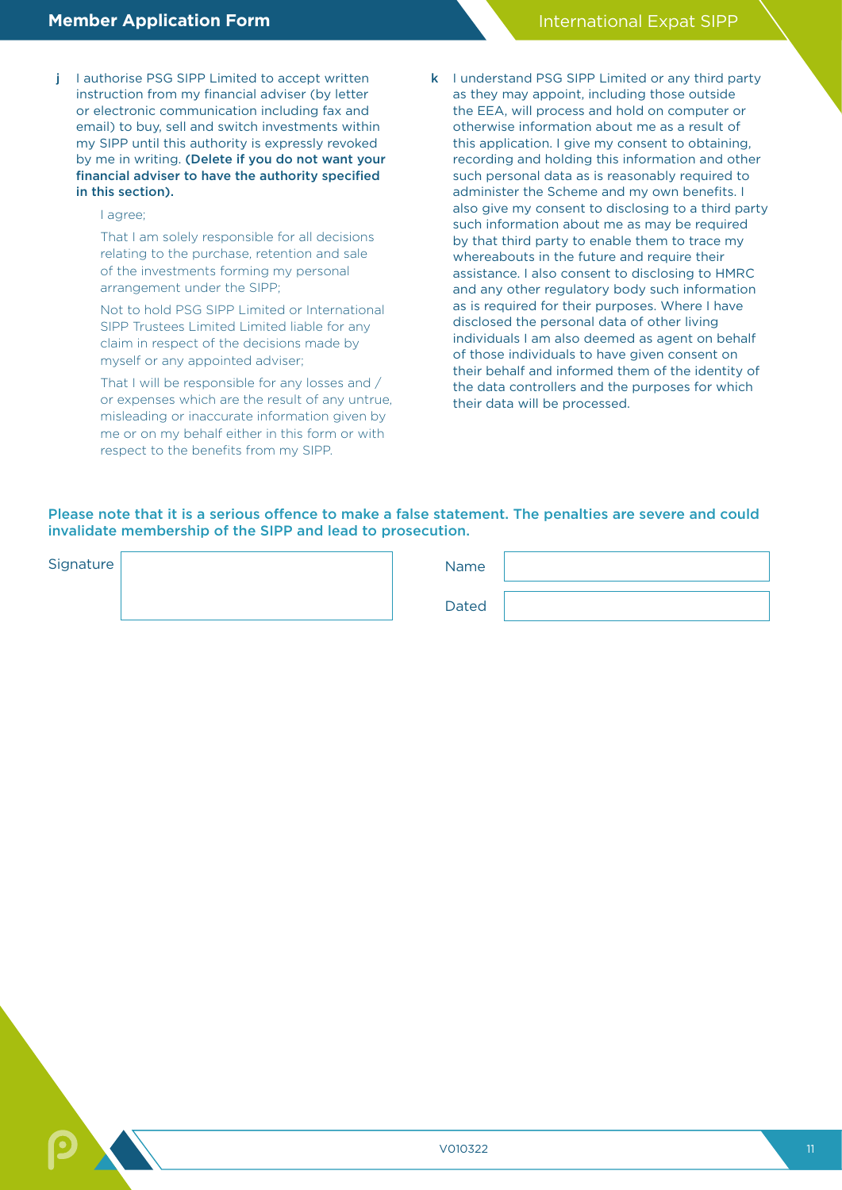- j lauthorise PSG SIPP Limited to accept written instruction from my financial adviser (by letter or electronic communication including fax and email) to buy, sell and switch investments within my SIPP until this authority is expressly revoked by me in writing. (Delete if you do not want your financial adviser to have the authority specified in this section).
	- I agree;

That I am solely responsible for all decisions relating to the purchase, retention and sale of the investments forming my personal arrangement under the SIPP;

Not to hold PSG SIPP Limited or International SIPP Trustees Limited Limited liable for any claim in respect of the decisions made by myself or any appointed adviser;

That I will be responsible for any losses and / or expenses which are the result of any untrue, misleading or inaccurate information given by me or on my behalf either in this form or with respect to the benefits from my SIPP.

k I understand PSG SIPP Limited or any third party as they may appoint, including those outside the EEA, will process and hold on computer or otherwise information about me as a result of this application. I give my consent to obtaining, recording and holding this information and other such personal data as is reasonably required to administer the Scheme and my own benefits. I also give my consent to disclosing to a third party such information about me as may be required by that third party to enable them to trace my whereabouts in the future and require their assistance. I also consent to disclosing to HMRC and any other regulatory body such information as is required for their purposes. Where I have disclosed the personal data of other living individuals I am also deemed as agent on behalf of those individuals to have given consent on their behalf and informed them of the identity of the data controllers and the purposes for which their data will be processed.

### Please note that it is a serious offence to make a false statement. The penalties are severe and could invalidate membership of the SIPP and lead to prosecution.

| Signature | Name |
|-----------|------|
|           |      |

Dated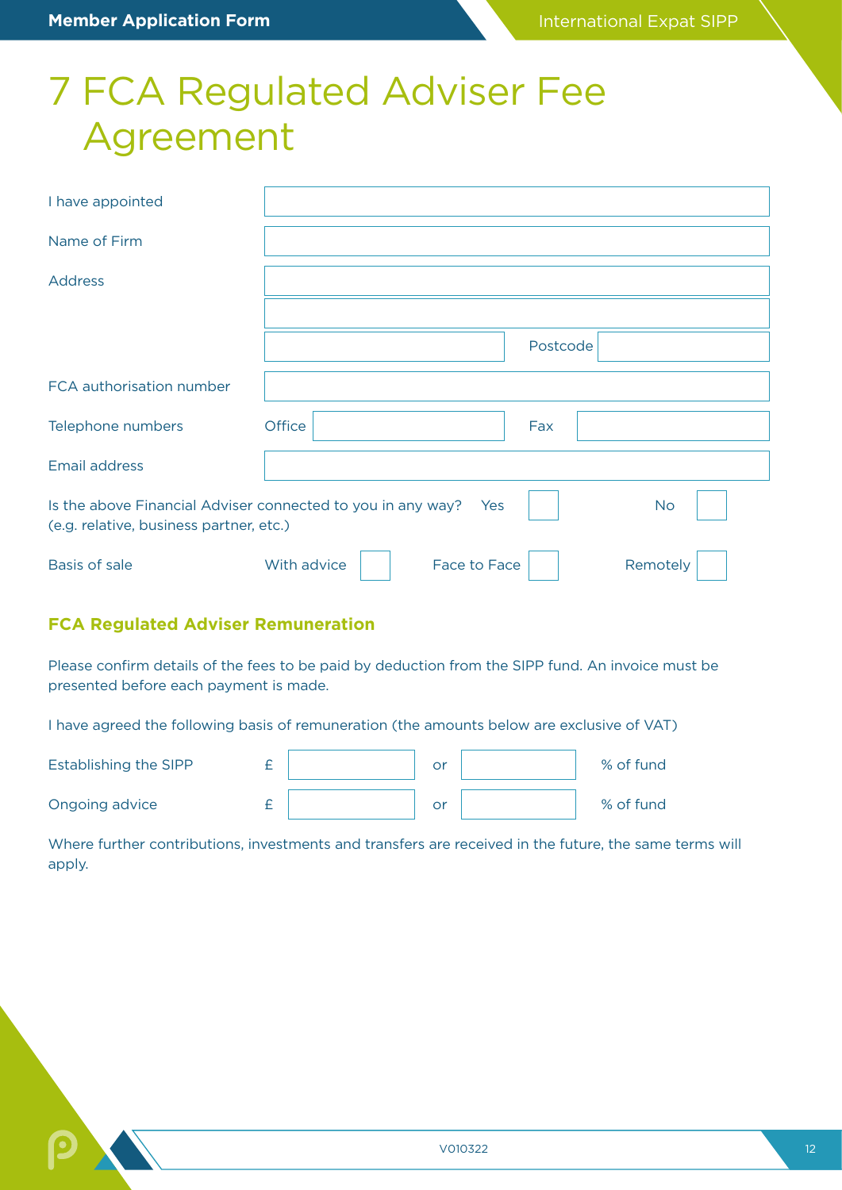## 7 FCA Regulated Adviser Fee Agreement

| I have appointed                                                                                       |                             |          |           |
|--------------------------------------------------------------------------------------------------------|-----------------------------|----------|-----------|
| Name of Firm                                                                                           |                             |          |           |
| <b>Address</b>                                                                                         |                             |          |           |
|                                                                                                        |                             |          |           |
|                                                                                                        |                             | Postcode |           |
| FCA authorisation number                                                                               |                             |          |           |
| Telephone numbers                                                                                      | Office                      | Fax      |           |
| <b>Email address</b>                                                                                   |                             |          |           |
| Is the above Financial Adviser connected to you in any way?<br>(e.g. relative, business partner, etc.) | <b>Parage Yes</b>           |          | <b>No</b> |
| <b>Basis of sale</b>                                                                                   | With advice<br>Face to Face |          | Remotely  |

### **FCA Regulated Adviser Remuneration**

Please confirm details of the fees to be paid by deduction from the SIPP fund. An invoice must be presented before each payment is made.

I have agreed the following basis of remuneration (the amounts below are exclusive of VAT)

| Establishing the SIPP |  | or | % of fund |
|-----------------------|--|----|-----------|
| Ongoing advice        |  | or | % of fund |

Where further contributions, investments and transfers are received in the future, the same terms will apply.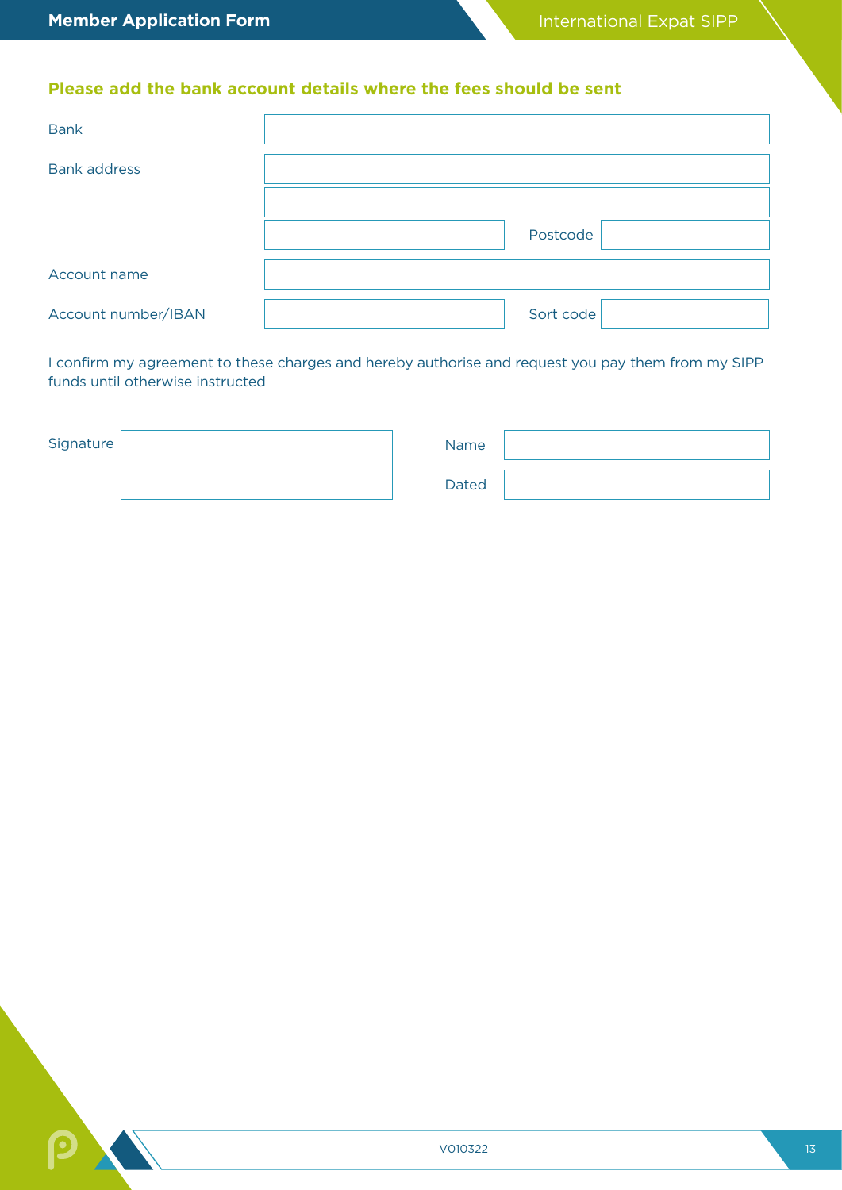### **Please add the bank account details where the fees should be sent**

| <b>Bank</b>         |           |
|---------------------|-----------|
| <b>Bank address</b> |           |
|                     |           |
|                     | Postcode  |
| Account name        |           |
| Account number/IBAN | Sort code |

I confirm my agreement to these charges and hereby authorise and request you pay them from my SIPP funds until otherwise instructed

| Signature | Name         |  |
|-----------|--------------|--|
|           | <b>Dated</b> |  |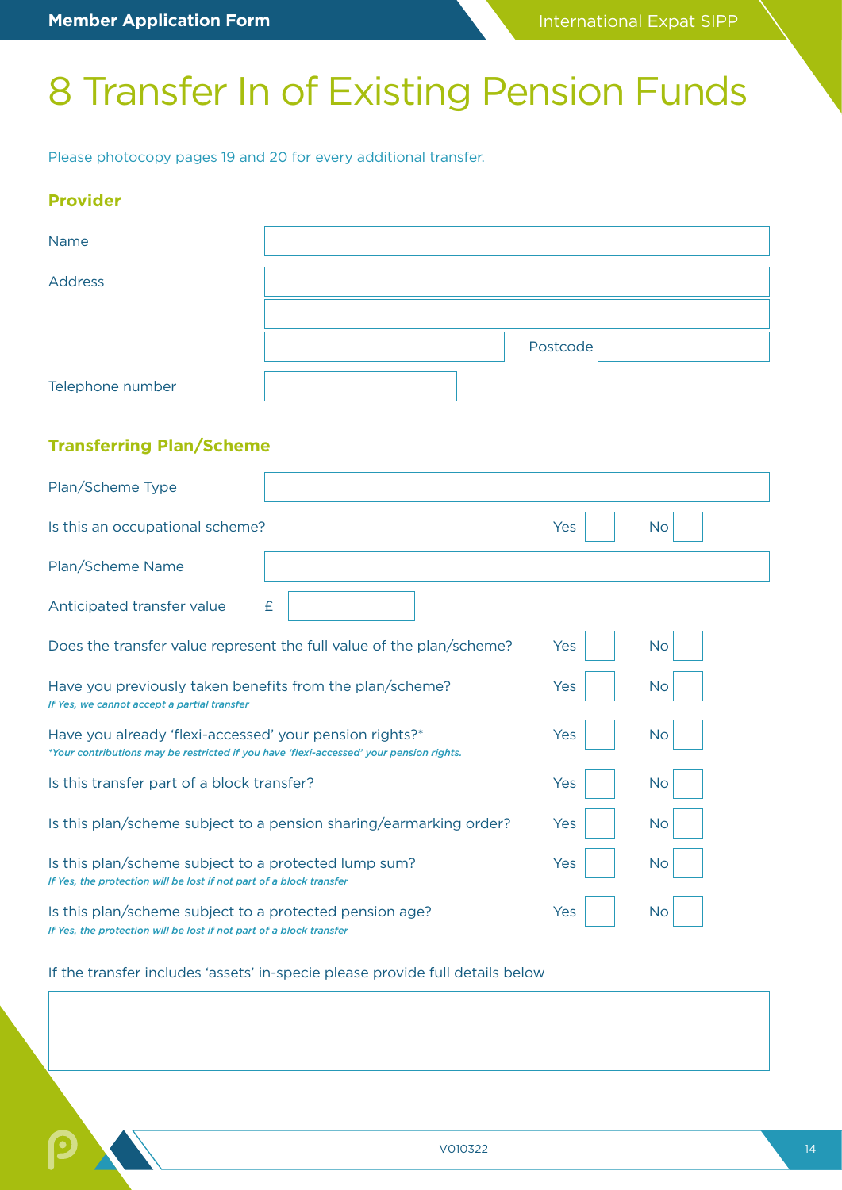## 8 Transfer In of Existing Pension Funds

Please photocopy pages 19 and 20 for every additional transfer.

### **Provider**

| Name                                                                                                                                               |                                                                      |          |           |
|----------------------------------------------------------------------------------------------------------------------------------------------------|----------------------------------------------------------------------|----------|-----------|
| <b>Address</b>                                                                                                                                     |                                                                      |          |           |
|                                                                                                                                                    |                                                                      |          |           |
|                                                                                                                                                    |                                                                      | Postcode |           |
| Telephone number                                                                                                                                   |                                                                      |          |           |
| <b>Transferring Plan/Scheme</b>                                                                                                                    |                                                                      |          |           |
| Plan/Scheme Type                                                                                                                                   |                                                                      |          |           |
| Is this an occupational scheme?                                                                                                                    |                                                                      | Yes      | <b>No</b> |
| Plan/Scheme Name                                                                                                                                   |                                                                      |          |           |
| Anticipated transfer value                                                                                                                         | £                                                                    |          |           |
|                                                                                                                                                    | Does the transfer value represent the full value of the plan/scheme? | Yes      | No        |
| Have you previously taken benefits from the plan/scheme?<br>If Yes, we cannot accept a partial transfer                                            |                                                                      | Yes      | No        |
| Have you already 'flexi-accessed' your pension rights?*<br>*Your contributions may be restricted if you have 'flexi-accessed' your pension rights. |                                                                      | Yes      | <b>No</b> |
| Is this transfer part of a block transfer?                                                                                                         |                                                                      | Yes      | No        |
|                                                                                                                                                    | Is this plan/scheme subject to a pension sharing/earmarking order?   | Yes      | No        |
| Is this plan/scheme subject to a protected lump sum?<br>If Yes, the protection will be lost if not part of a block transfer                        |                                                                      | Yes      | No        |
| Is this plan/scheme subject to a protected pension age?<br>If Yes, the protection will be lost if not part of a block transfer                     |                                                                      | Yes      | No        |

If the transfer includes 'assets' in-specie please provide full details below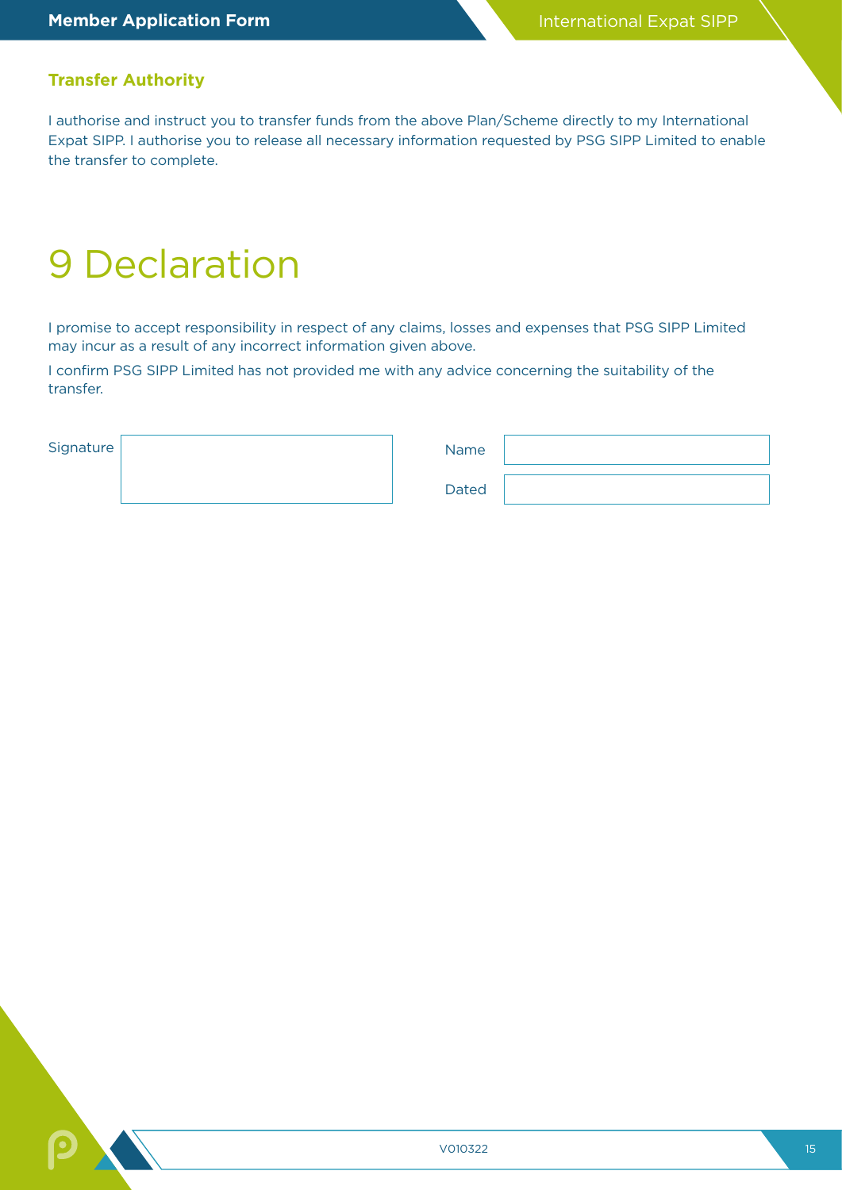### **Transfer Authority**

I authorise and instruct you to transfer funds from the above Plan/Scheme directly to my International Expat SIPP. I authorise you to release all necessary information requested by PSG SIPP Limited to enable the transfer to complete.

## 9 Declaration

I promise to accept responsibility in respect of any claims, losses and expenses that PSG SIPP Limited may incur as a result of any incorrect information given above.

I confirm PSG SIPP Limited has not provided me with any advice concerning the suitability of the transfer.

| Signature | Name         |  |
|-----------|--------------|--|
|           | <b>Dated</b> |  |